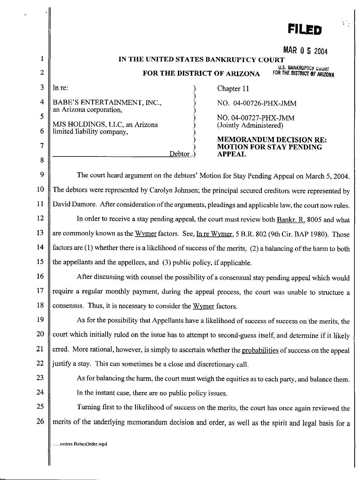|              | <b>FILED</b>                                                                                                                 |
|--------------|------------------------------------------------------------------------------------------------------------------------------|
|              |                                                                                                                              |
| $\mathbf{1}$ | MAR 0 5 2004                                                                                                                 |
| 2            | IN THE UNITED STATES BANKRUPTCY COURT<br>U.S. BANKRUPTCY COURT<br>FOR THE DISTRICT OF ARIZONA<br>FOR THE DISTRICT OF ARIZONA |
| 3            | In $re$ :<br>Chapter 11                                                                                                      |
| 4            | BABE'S ENTERTAINMENT, INC.,<br>NO. 04-00726-PHX-JMM                                                                          |
| 5            | an Arizona corporation,<br>NO. 04-00727-PHX-JMM                                                                              |
| 6            | MJS HOLDINGS, LLC, an Arizona<br>(Jointly Administered)<br>limited liability company,                                        |
| 7            | <b>MEMORANDUM DECISION RE:</b><br><b>MOTION FOR STAY PENDING</b>                                                             |
| $8\,$        | Debtor.<br><b>APPEAL</b>                                                                                                     |
| 9            | The court heard argument on the debtors' Motion for Stay Pending Appeal on March 5, 2004.                                    |
| 10           | The debtors were represented by Carolyn Johnsen; the principal secured creditors were represented by                         |
| 11           | David Damore. After consideration of the arguments, pleadings and applicable law, the court now rules.                       |
| 12           | In order to receive a stay pending appeal, the court must review both Bankr. R. 8005 and what                                |
| 13           | are commonly known as the Wymer factors. See, In re Wymer, 5 B.R. 802 (9th Cir. BAP 1980). Those                             |
| 14           | factors are (1) whether there is a likelihood of success of the merits, (2) a balancing of the harm to both                  |
| 15           | the appellants and the appellees, and (3) public policy, if applicable.                                                      |
| 16           | After discussing with counsel the possibility of a consensual stay pending appeal which would                                |
| 17           | require a regular monthly payment, during the appeal process, the court was unable to structure a                            |
| 18           | consensus. Thus, it is necessary to consider the Wymer factors.                                                              |
| 19           | As for the possibility that Appellants have a likelihood of success of success on the merits, the                            |
| 20           | court which initially ruled on the issue has to attempt to second-guess itself, and determine if it likely                   |
| 21           | erred. More rational, however, is simply to ascertain whether the probabilities of success on the appeal                     |
| 22           | justify a stay. This can sometimes be a close and discretionary call.                                                        |
| 23           | As for balancing the harm, the court must weigh the equities as to each party, and balance them.                             |
| 24           | In the instant case, there are no public policy issues.                                                                      |
| 25           | Turning first to the likelihood of success on the merits, the court has once again reviewed the                              |
| 26           | merits of the underlying memorandum decision and order, as well as the spirit and legal basis for a                          |
|              | .orders.BabesOrder.wpd                                                                                                       |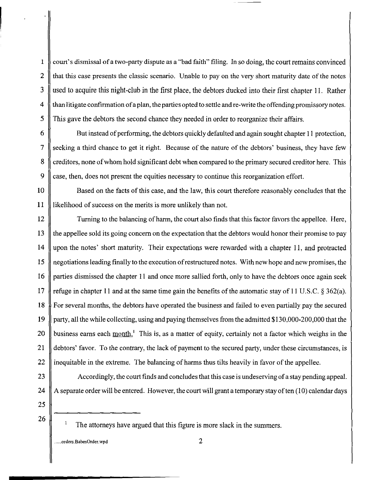$\parallel$   $\parallel$  court's dismissal of a two-party dispute as a "bad faith" filing. In so doing, the court remains convinced 2  $\parallel$  that this case presents the classic scenario. Unable to pay on the very short maturity date of the notes 3 used to acquire this night-club in the first place, the debtors ducked into their first chapter I!. Rather  $4 \parallel$  than litigate confirmation of a plan, the parties opted to settle and re-write the offending promissory notes. 5 This gave the debtors the second chance they needed in order to reorganize their affairs.

6 But instead of performing, the debtors quickly defaulted and again sought chapter II protection, 7 seeking a third chance to get it right. Because of the nature of the debtors' business, they have few 8 creditors, none of whom hold significant debt when compared to the primary secured creditor here. This 9 case, then, does not present the equities necessary to continue this reorganization effort.

10 Based on the facts of this case, and the law, this court therefore reasonably concludes that the II likelihood of success on the merits is more unlikely than not.

12 Turning to the balancing of harm, the court also finds that this factor favors the appellee. Here, 13 If the appellee sold its going concern on the expectation that the debtors would honor their promise to pay 14 upon the notes' short maturity. Their expectations were rewarded with a chapter II, and protracted 15 negotiations leading finally to the execution of restructured notes. With new hope and new promises, the 16 parties dismissed the chapter II and once more sallied forth, only to have the debtors once again seek 17 refuge in chapter 11 and at the same time gain the benefits of the automatic stay of 11 U.S.C.  $\S 362(a)$ . 18 For several months, the debtors have operated the business and failed to even partially pay the secured 19 party, all the while collecting, using and paying themselves from the admitted \$130,000-200,000 that the 20 business earns each month.<sup>1</sup> This is, as a matter of equity, certainly not a factor which weighs in the 21 debtors' favor. To the contrary, the lack of payment to the secured party, under these circumstances, is 22 is inequitable in the extreme. The balancing of harms thus tilts heavily in favor of the appellee.

23 Accordingly, the court finds and concludes that this case is undeserving of a stay pending appeal. 24  $\parallel$  A separate order will be entered. However, the court will grant a temporary stay of ten (10) calendar days

25

26

....**. orders. BabesOrder. wpd** 2

The attorneys have argued that this figure is more slack in the summers.